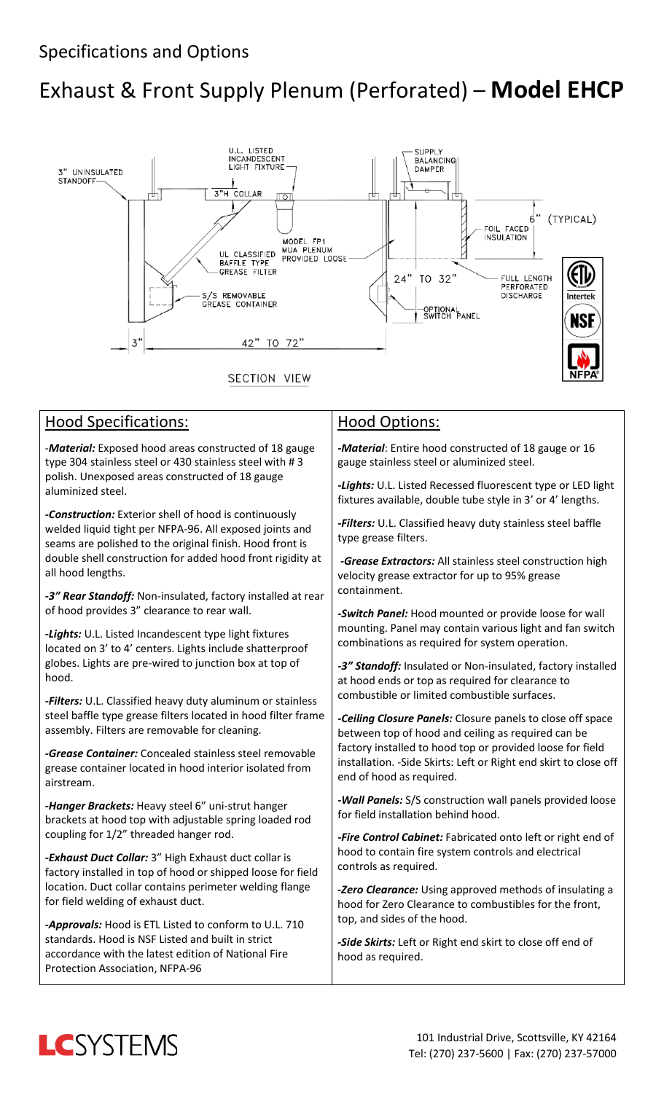# Exhaust & Front Supply Plenum (Perforated) – **Model EHCP**



#### Hood Specifications:

-*Material:* Exposed hood areas constructed of 18 gauge type 304 stainless steel or 430 stainless steel with # 3 polish. Unexposed areas constructed of 18 gauge aluminized steel.

*-Construction:* Exterior shell of hood is continuously welded liquid tight per NFPA-96. All exposed joints and seams are polished to the original finish. Hood front is double shell construction for added hood front rigidity at all hood lengths.

*-3" Rear Standoff:* Non-insulated, factory installed at rear of hood provides 3" clearance to rear wall.

*-Lights:* U.L. Listed Incandescent type light fixtures located on 3' to 4' centers. Lights include shatterproof globes. Lights are pre-wired to junction box at top of hood.

*-Filters:* U.L. Classified heavy duty aluminum or stainless steel baffle type grease filters located in hood filter frame assembly. Filters are removable for cleaning.

*-Grease Container:* Concealed stainless steel removable grease container located in hood interior isolated from airstream.

*-Hanger Brackets:* Heavy steel 6" uni-strut hanger brackets at hood top with adjustable spring loaded rod coupling for 1/2" threaded hanger rod.

*-Exhaust Duct Collar:* 3" High Exhaust duct collar is factory installed in top of hood or shipped loose for field location. Duct collar contains perimeter welding flange for field welding of exhaust duct.

*-Approvals:* Hood is ETL Listed to conform to U.L. 710 standards. Hood is NSF Listed and built in strict accordance with the latest edition of National Fire Protection Association, NFPA-96

#### Hood Options:

*-Material*: Entire hood constructed of 18 gauge or 16 gauge stainless steel or aluminized steel.

*-Lights:* U.L. Listed Recessed fluorescent type or LED light fixtures available, double tube style in 3' or 4' lengths.

*-Filters:* U.L. Classified heavy duty stainless steel baffle type grease filters.

*-Grease Extractors:* All stainless steel construction high velocity grease extractor for up to 95% grease containment.

*-Switch Panel:* Hood mounted or provide loose for wall mounting. Panel may contain various light and fan switch combinations as required for system operation.

*-3" Standoff:* Insulated or Non-insulated, factory installed at hood ends or top as required for clearance to combustible or limited combustible surfaces.

*-Ceiling Closure Panels:* Closure panels to close off space between top of hood and ceiling as required can be factory installed to hood top or provided loose for field installation. -Side Skirts: Left or Right end skirt to close off end of hood as required.

*-Wall Panels:* S/S construction wall panels provided loose for field installation behind hood.

*-Fire Control Cabinet:* Fabricated onto left or right end of hood to contain fire system controls and electrical controls as required.

*-Zero Clearance:* Using approved methods of insulating a hood for Zero Clearance to combustibles for the front, top, and sides of the hood.

*-Side Skirts:* Left or Right end skirt to close off end of hood as required.